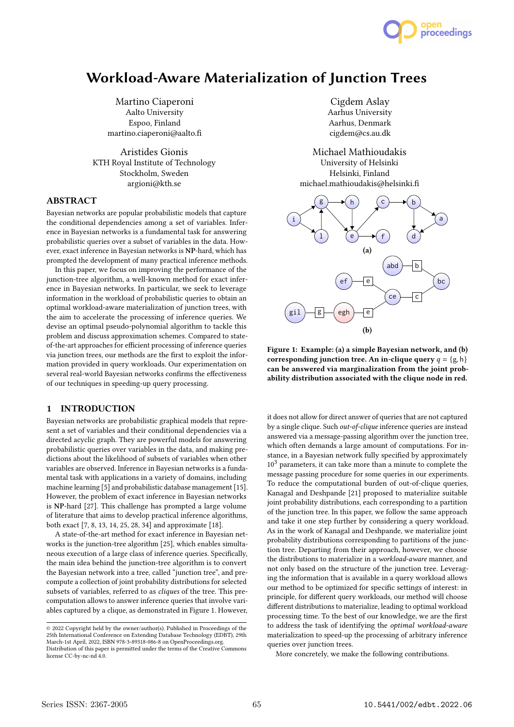

# Workload-Aware Materialization of Junction Trees

Martino Ciaperoni Aalto University Espoo, Finland martino.ciaperoni@aalto.fi

Aristides Gionis KTH Royal Institute of Technology Stockholm, Sweden argioni@kth.se

### ABSTRACT

Bayesian networks are popular probabilistic models that capture the conditional dependencies among a set of variables. Inference in Bayesian networks is a fundamental task for answering probabilistic queries over a subset of variables in the data. However, exact inference in Bayesian networks is NP-hard, which has prompted the development of many practical inference methods.

In this paper, we focus on improving the performance of the junction-tree algorithm, a well-known method for exact inference in Bayesian networks. In particular, we seek to leverage information in the workload of probabilistic queries to obtain an optimal workload-aware materialization of junction trees, with the aim to accelerate the processing of inference queries. We devise an optimal pseudo-polynomial algorithm to tackle this problem and discuss approximation schemes. Compared to stateof-the-art approaches for efficient processing of inference queries via junction trees, our methods are the first to exploit the information provided in query workloads. Our experimentation on several real-world Bayesian networks confirms the effectiveness of our techniques in speeding-up query processing.

### 1 INTRODUCTION

Bayesian networks are probabilistic graphical models that represent a set of variables and their conditional dependencies via a directed acyclic graph. They are powerful models for answering probabilistic queries over variables in the data, and making predictions about the likelihood of subsets of variables when other variables are observed. Inference in Bayesian networks is a fundamental task with applications in a variety of domains, including machine learning [5] and probabilistic database management [15]. However, the problem of exact inference in Bayesian networks is NP-hard [27]. This challenge has prompted a large volume of literature that aims to develop practical inference algorithms, both exact [7, 8, 13, 14, 25, 28, 34] and approximate [18].

A state-of-the-art method for exact inference in Bayesian networks is the junction-tree algorithm [25], which enables simultaneous execution of a large class of inference queries. Specifically, the main idea behind the junction-tree algorithm is to convert the Bayesian network into a tree, called "junction tree", and precompute a collection of joint probability distributions for selected subsets of variables, referred to as cliques of the tree. This precomputation allows to answer inference queries that involve variables captured by a clique, as demonstrated in Figure 1. However,

Cigdem Aslay Aarhus University Aarhus, Denmark cigdem@cs.au.dk

Michael Mathioudakis University of Helsinki Helsinki, Finland michael.mathioudakis@helsinki.fi



Figure 1: Example: (a) a simple Bayesian network, and (b) corresponding junction tree. An in-clique query  $q = \{g, h\}$ can be answered via marginalization from the joint probability distribution associated with the clique node in red.

it does not allow for direct answer of queries that are not captured by a single clique. Such out-of-clique inference queries are instead answered via a message-passing algorithm over the junction tree, which often demands a large amount of computations. For instance, in a Bayesian network fully specified by approximately  $10<sup>3</sup>$  parameters, it can take more than a minute to complete the message passing procedure for some queries in our experiments. To reduce the computational burden of out-of-clique queries, Kanagal and Deshpande [21] proposed to materialize suitable joint probability distributions, each corresponding to a partition of the junction tree. In this paper, we follow the same approach and take it one step further by considering a query workload. As in the work of Kanagal and Deshpande, we materialize joint probability distributions corresponding to partitions of the junction tree. Departing from their approach, however, we choose the distributions to materialize in a workload-aware manner, and not only based on the structure of the junction tree. Leveraging the information that is available in a query workload allows our method to be optimized for specific settings of interest: in principle, for different query workloads, our method will choose different distributions to materialize, leading to optimal workload processing time. To the best of our knowledge, we are the first to address the task of identifying the optimal workload-aware materialization to speed-up the processing of arbitrary inference queries over junction trees.

More concretely, we make the following contributions.

<sup>©</sup> 2022 Copyright held by the owner/author(s). Published in Proceedings of the 25th International Conference on Extending Database Technology (EDBT), 29th March-1st April, 2022, ISBN 978-3-89318-086-8 on OpenProceedings.org. Distribution of this paper is permitted under the terms of the Creative Commons

license CC-by-nc-nd 4.0.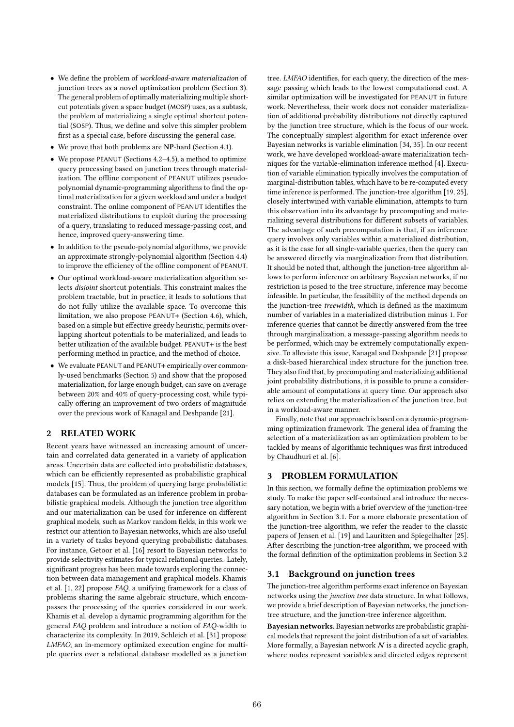- We define the problem of workload-aware materialization of junction trees as a novel optimization problem (Section 3). The general problem of optimally materializing multiple shortcut potentials given a space budget (MOSP) uses, as a subtask, the problem of materializing a single optimal shortcut potential (SOSP). Thus, we define and solve this simpler problem first as a special case, before discussing the general case.
- We prove that both problems are NP-hard (Section 4.1).
- We propose PEANUT (Sections 4.2–4.5), a method to optimize query processing based on junction trees through materialization. The offline component of PEANUT utilizes pseudopolynomial dynamic-programming algorithms to find the optimal materialization for a given workload and under a budget constraint. The online component of PEANUT identifies the materialized distributions to exploit during the processing of a query, translating to reduced message-passing cost, and hence, improved query-answering time.
- In addition to the pseudo-polynomial algorithms, we provide an approximate strongly-polynomial algorithm (Section 4.4) to improve the efficiency of the offline component of PEANUT.
- Our optimal workload-aware materialization algorithm selects disjoint shortcut potentials. This constraint makes the problem tractable, but in practice, it leads to solutions that do not fully utilize the available space. To overcome this limitation, we also propose PEANUT+ (Section 4.6), which, based on a simple but effective greedy heuristic, permits overlapping shortcut potentials to be materialized, and leads to better utilization of the available budget. PEANUT+ is the best performing method in practice, and the method of choice.
- We evaluate PEANUT and PEANUT+ empirically over commonly-used benchmarks (Section 5) and show that the proposed materialization, for large enough budget, can save on average between 20% and 40% of query-processing cost, while typically offering an improvement of two orders of magnitude over the previous work of Kanagal and Deshpande [21].

## 2 RELATED WORK

Recent years have witnessed an increasing amount of uncertain and correlated data generated in a variety of application areas. Uncertain data are collected into probabilistic databases, which can be efficiently represented as probabilistic graphical models [15]. Thus, the problem of querying large probabilistic databases can be formulated as an inference problem in probabilistic graphical models. Although the junction tree algorithm and our materialization can be used for inference on different graphical models, such as Markov random fields, in this work we restrict our attention to Bayesian networks, which are also useful in a variety of tasks beyond querying probabilistic databases. For instance, Getoor et al. [16] resort to Bayesian networks to provide selectivity estimates for typical relational queries. Lately, significant progress has been made towards exploring the connection between data management and graphical models. Khamis et al. [1, 22] propose FAQ, a unifying framework for a class of problems sharing the same algebraic structure, which encompasses the processing of the queries considered in our work. Khamis et al. develop a dynamic programming algorithm for the general FAQ problem and introduce a notion of FAQ-width to characterize its complexity. In 2019, Schleich et al. [31] propose LMFAO, an in-memory optimized execution engine for multiple queries over a relational database modelled as a junction

tree. LMFAO identifies, for each query, the direction of the message passing which leads to the lowest computational cost. A similar optimization will be investigated for PEANUT in future work. Nevertheless, their work does not consider materialization of additional probability distributions not directly captured by the junction tree structure, which is the focus of our work. The conceptually simplest algorithm for exact inference over Bayesian networks is variable elimination [34, 35]. In our recent work, we have developed workload-aware materialization techniques for the variable-elimination inference method [4]. Execution of variable elimination typically involves the computation of marginal-distribution tables, which have to be re-computed every time inference is performed. The junction-tree algorithm [19, 25], closely intertwined with variable elimination, attempts to turn this observation into its advantage by precomputing and materializing several distributions for different subsets of variables. The advantage of such precomputation is that, if an inference query involves only variables within a materialized distribution, as it is the case for all single-variable queries, then the query can be answered directly via marginalization from that distribution. It should be noted that, although the junction-tree algorithm allows to perform inference on arbitrary Bayesian networks, if no restriction is posed to the tree structure, inference may become infeasible. In particular, the feasibility of the method depends on the junction-tree treewidth, which is defined as the maximum number of variables in a materialized distribution minus 1. For inference queries that cannot be directly answered from the tree through marginalization, a message-passing algorithm needs to be performed, which may be extremely computationally expensive. To alleviate this issue, Kanagal and Deshpande [21] propose a disk-based hierarchical index structure for the junction tree. They also find that, by precomputing and materializing additional joint probability distributions, it is possible to prune a considerable amount of computations at query time. Our approach also relies on extending the materialization of the junction tree, but in a workload-aware manner.

Finally, note that our approach is based on a dynamic-programming optimization framework. The general idea of framing the selection of a materialization as an optimization problem to be tackled by means of algorithmic techniques was first introduced by Chaudhuri et al. [6].

### 3 PROBLEM FORMULATION

In this section, we formally define the optimization problems we study. To make the paper self-contained and introduce the necessary notation, we begin with a brief overview of the junction-tree algorithm in Section 3.1. For a more elaborate presentation of the junction-tree algorithm, we refer the reader to the classic papers of Jensen et al. [19] and Lauritzen and Spiegelhalter [25]. After describing the junction-tree algorithm, we proceed with the formal definition of the optimization problems in Section 3.2

### 3.1 Background on junction trees

The junction-tree algorithm performs exact inference on Bayesian networks using the junction tree data structure. In what follows, we provide a brief description of Bayesian networks, the junctiontree structure, and the junction-tree inference algorithm.

Bayesian networks. Bayesian networks are probabilistic graphical models that represent the joint distribution of a set of variables. More formally, a Bayesian network  $N$  is a directed acyclic graph, where nodes represent variables and directed edges represent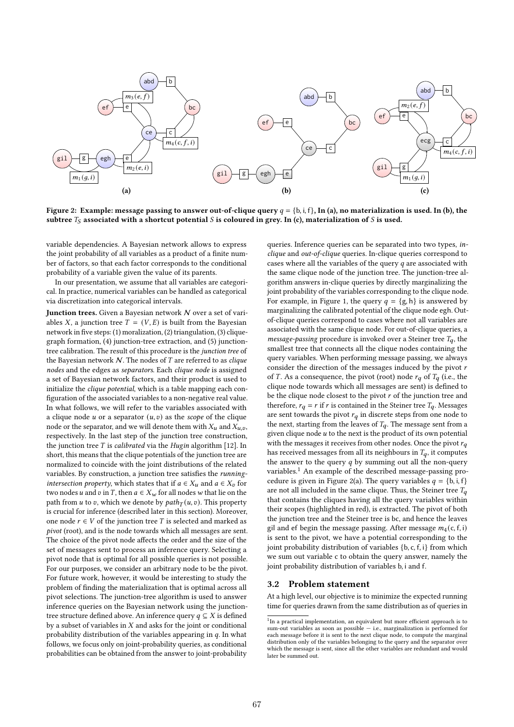

Figure 2: Example: message passing to answer out-of-clique query  $q = \{b, i, f\}$ , In (a), no materialization is used. In (b), the subtree  $T_S$  associated with a shortcut potential S is coloured in grey. In (c), materialization of S is used.

variable dependencies. A Bayesian network allows to express the joint probability of all variables as a product of a finite number of factors, so that each factor corresponds to the conditional probability of a variable given the value of its parents.

In our presentation, we assume that all variables are categorical. In practice, numerical variables can be handled as categorical via discretization into categorical intervals.

**Junction trees.** Given a Bayesian network  $N$  over a set of variables X, a junction tree  $T = (V, E)$  is built from the Bayesian network in five steps: (1) moralization, (2) triangulation, (3) cliquegraph formation, (4) junction-tree extraction, and (5) junctiontree calibration. The result of this procedure is the junction tree of the Bayesian network  $N$ . The nodes of  $T$  are referred to as *clique* nodes and the edges as separators. Each clique node is assigned a set of Bayesian network factors, and their product is used to initialize the clique potential, which is a table mapping each configuration of the associated variables to a non-negative real value. In what follows, we will refer to the variables associated with a clique node  $u$  or a separator  $(u, v)$  as the scope of the clique node or the separator, and we will denote them with  $X_u$  and  $X_{u,v}$ , respectively. In the last step of the junction tree construction, the junction tree  $T$  is *calibrated* via the *Hugin* algorithm [12]. In short, this means that the clique potentials of the junction tree are normalized to coincide with the joint distributions of the related variables. By construction, a junction tree satisfies the running*intersection property*, which states that if  $a \in X_u$  and  $a \in X_v$  for two nodes *u* and *v* in *T*, then  $a \in X_w$  for all nodes *w* that lie on the path from  $u$  to  $v$ , which we denote by  $path_T(u, v)$ . This property is crucial for inference (described later in this section). Moreover, one node  $r \in V$  of the junction tree T is selected and marked as pivot (root), and is the node towards which all messages are sent. The choice of the pivot node affects the order and the size of the set of messages sent to process an inference query. Selecting a pivot node that is optimal for all possible queries is not possible. For our purposes, we consider an arbitrary node to be the pivot. For future work, however, it would be interesting to study the problem of finding the materialization that is optimal across all pivot selections. The junction-tree algorithm is used to answer inference queries on the Bayesian network using the junctiontree structure defined above. An inference query  $q \subseteq X$  is defined by a subset of variables in  $X$  and asks for the joint or conditional probability distribution of the variables appearing in  $q$ . In what follows, we focus only on joint-probability queries, as conditional probabilities can be obtained from the answer to joint-probability

queries. Inference queries can be separated into two types, inclique and out-of-clique queries. In-clique queries correspond to cases where all the variables of the query  $q$  are associated with the same clique node of the junction tree. The junction-tree algorithm answers in-clique queries by directly marginalizing the joint probability of the variables corresponding to the clique node. For example, in Figure 1, the query  $q = \{g, h\}$  is answered by marginalizing the calibrated potential of the clique node egh. Outof-clique queries correspond to cases where not all variables are associated with the same clique node. For out-of-clique queries, a *message-passing* procedure is invoked over a Steiner tree  $T_a$ , the smallest tree that connects all the clique nodes containing the query variables. When performing message passing, we always consider the direction of the messages induced by the pivot  $r$ of *T*. As a consequence, the pivot (root) node  $r_q$  of  $T_q$  (i.e., the clique node towards which all messages are sent) is defined to be the clique node closest to the pivot  $r$  of the junction tree and therefore,  $r_q = r$  if r is contained in the Steiner tree  $T_q$ . Messages are sent towards the pivot  $r_q$  in discrete steps from one node to the next, starting from the leaves of  $T_q$ . The message sent from a given clique node  $u$  to the next is the product of its own potential with the messages it receives from other nodes. Once the pivot  $r_a$ has received messages from all its neighbours in  $T_q$ , it computes the answer to the query  $q$  by summing out all the non-query variables.<sup>1</sup> An example of the described message-passing procedure is given in Figure 2(a). The query variables  $q = \{b, i, f\}$ are not all included in the same clique. Thus, the Steiner tree  $T_q$ that contains the cliques having all the query variables within their scopes (highlighted in red), is extracted. The pivot of both the junction tree and the Steiner tree is bc, and hence the leaves gil and ef begin the message passing. After message  $m_4$ (c, f, i) is sent to the pivot, we have a potential corresponding to the joint probability distribution of variables {b, c, f, i} from which we sum out variable c to obtain the query answer, namely the joint probability distribution of variables b, i and f.

#### 3.2 Problem statement

At a high level, our objective is to minimize the expected running time for queries drawn from the same distribution as of queries in

<sup>&</sup>lt;sup>1</sup>In a practical implementation, an equivalent but more efficient approach is to sum-out variables as soon as possible — i.e., marginalization is performed for each message before it is sent to the next clique node, to compute the marginal distribution only of the variables belonging to the query and the separator over which the message is sent, since all the other variables are redundant and would later be summed out.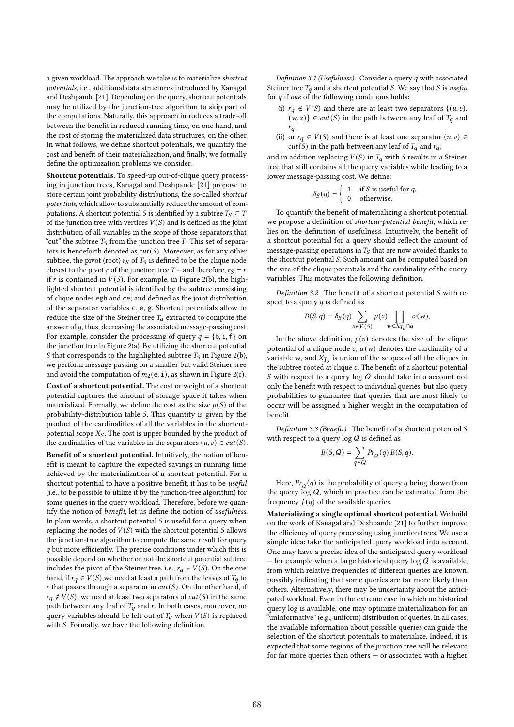a given workload. The approach we take is to materialize shortcut potentials, i.e., additional data structures introduced by Kanagal and Deshpande [21]. Depending on the query, shortcut potentials may be utilized by the junction-tree algorithm to skip part of the computations. Naturally, this approach introduces a trade-off between the benefit in reduced running time, on one hand, and the cost of storing the materialized data structures, on the other. In what follows, we define shortcut potentials, we quantify the cost and benefit of their materialization, and finally, we formally define the optimization problems we consider.

Shortcut potentials. To speed-up out-of-clique query processing in junction trees, Kanagal and Deshpande [21] propose to store certain joint probability distributions, the so-called shortcut potentials, which allow to substantially reduce the amount of computations. A shortcut potential *S* is identified by a subtree  $T_S \subseteq T$ of the junction tree with vertices  $V(S)$  and is defined as the joint distribution of all variables in the scope of those separators that "cut" the subtree  $T<sub>S</sub>$  from the junction tree T. This set of separators is henceforth denoted as  $cut(S)$ . Moreover, as for any other subtree, the pivot (root)  $r<sub>S</sub>$  of  $T<sub>S</sub>$  is defined to be the clique node closest to the pivot r of the junction tree  $T-$  and therefore,  $r_S = r$ if  $r$  is contained in  $V(S)$ . For example, in Figure 2(b), the highlighted shortcut potential is identified by the subtree consisting of clique nodes egh and ce; and defined as the joint distribution of the separator variables c, e, g. Shortcut potentials allow to reduce the size of the Steiner tree  $T_q$  extracted to compute the answer of  $q$ , thus, decreasing the associated message-passing cost. For example, consider the processing of query  $q = \{b, i, f\}$  on the junction tree in Figure 2(a). By utilizing the shortcut potential S that corresponds to the highlighted subtree  $T<sub>S</sub>$  in Figure 2(b), we perform message passing on a smaller but valid Steiner tree and avoid the computation of  $m_2(e, i)$ , as shown in Figure 2(c).

Cost of a shortcut potential. The cost or weight of a shortcut potential captures the amount of storage space it takes when materialized. Formally, we define the cost as the size  $u(S)$  of the probability-distribution table  $S$ . This quantity is given by the product of the cardinalities of all the variables in the shortcutpotential scope  $X<sub>S</sub>$ . The cost is upper bounded by the product of the cardinalities of the variables in the separators  $(u, v) \in cut(S)$ .

Benefit of a shortcut potential. Intuitively, the notion of benefit is meant to capture the expected savings in running time achieved by the materialization of a shortcut potential. For a shortcut potential to have a positive benefit, it has to be useful (i.e., to be possible to utilize it by the junction-tree algorithm) for some queries in the query workload. Therefore, before we quantify the notion of benefit, let us define the notion of usefulness. In plain words, a shortcut potential  $S$  is useful for a query when replacing the nodes of  $V(S)$  with the shortcut potential S allows the junction-tree algorithm to compute the same result for query  $q$  but more efficiently. The precise conditions under which this is possible depend on whether or not the shortcut potential subtree includes the pivot of the Steiner tree, i.e.,  $r_q \in V(S)$ . On the one hand, if  $r_q \in V(S)$ , we need at least a path from the leaves of  $T_q$  to r that passes through a separator in  $cut(S)$ . On the other hand, if  $r_q \notin V(S)$ , we need at least two separators of  $cut(S)$  in the same path between any leaf of  $T_q$  and r. In both cases, moreover, no query variables should be left out of  $T_q$  when  $V(S)$  is replaced with S. Formally, we have the following definition.

Definition 3.1 (Usefulness). Consider a query  $q$  with associated Steiner tree  $T_q$  and a shortcut potential S. We say that S is useful for  $q$  if one of the following conditions holds:

- (i)  $r_q \notin V(S)$  and there are at least two separators  $\{(u, v),\}$  $(w, z)$   $\in$   $cut(S)$  in the path between any leaf of  $T<sub>q</sub>$  and  $r_q$ ;
- (ii) or  $r_q \in V(S)$  and there is at least one separator  $(u, v) \in$  $cut(S)$  in the path between any leaf of  $T_q$  and  $r_q$ ;

and in addition replacing  $V(S)$  in  $T_q$  with S results in a Steiner tree that still contains all the query variables while leading to a lower message-passing cost. We define:

$$
\delta_S(q) = \begin{cases} 1 & \text{if } S \text{ is useful for } q, \\ 0 & \text{otherwise.} \end{cases}
$$

To quantify the benefit of materializing a shortcut potential, we propose a definition of shortcut-potential benefit, which relies on the definition of usefulness. Intuitively, the benefit of a shortcut potential for a query should reflect the amount of message-passing operations in  $T<sub>S</sub>$  that are now avoided thanks to the shortcut potential  $S$ . Such amount can be computed based on the size of the clique potentials and the cardinality of the query variables. This motivates the following definition.

Definition 3.2. The benefit of a shortcut potential  $S$  with respect to a query  $q$  is defined as

$$
B(S,q)=\delta_S(q)\sum_{v\in V(S)}\mu(v)\prod_{w\in X_{T_v}\cap q}\alpha(w),
$$

In the above definition,  $\mu(v)$  denotes the size of the clique potential of a clique node  $v$ ,  $\alpha(w)$  denotes the cardinality of a variable w, and  $X_{T_v}$  is union of the scopes of all the cliques in the subtree rooted at clique  $v$ . The benefit of a shortcut potential S with respect to a query  $log Q$  should take into account not only the benefit with respect to individual queries, but also query probabilities to guarantee that queries that are most likely to occur will be assigned a higher weight in the computation of benefit.

Definition 3.3 (Benefit). The benefit of a shortcut potential  $S$ with respect to a query  $\log Q$  is defined as

$$
B(S, Q) = \sum_{q \in Q} Pr_Q(q) B(S, q).
$$

Here,  $Pr_{Q}(q)$  is the probability of query q being drawn from the query  $log Q$ , which in practice can be estimated from the frequency  $f(q)$  of the available queries.

Materializing a single optimal shortcut potential. We build on the work of Kanagal and Deshpande [21] to further improve the efficiency of query processing using junction trees. We use a simple idea: take the anticipated query workload into account. One may have a precise idea of the anticipated query workload — for example when a large historical query  $\log Q$  is available, from which relative frequencies of different queries are known, possibly indicating that some queries are far more likely than others. Alternatively, there may be uncertainty about the anticipated workload. Even in the extreme case in which no historical query log is available, one may optimize materialization for an "uninformative" (e.g., uniform) distribution of queries. In all cases, the available information about possible queries can guide the selection of the shortcut potentials to materialize. Indeed, it is expected that some regions of the junction tree will be relevant for far more queries than others — or associated with a higher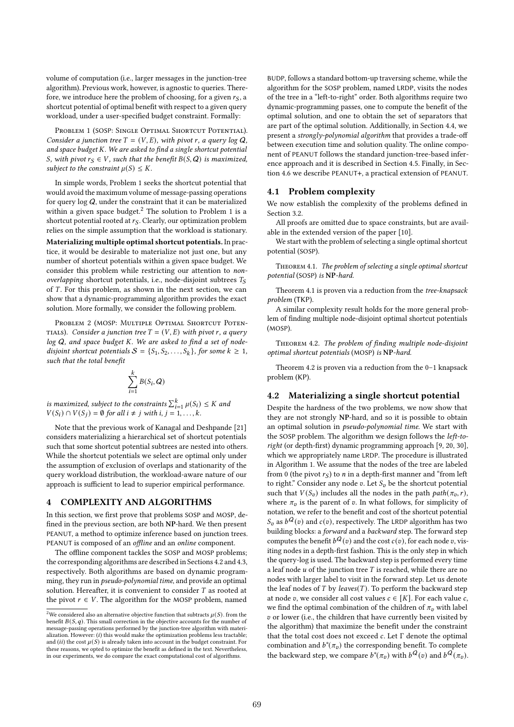volume of computation (i.e., larger messages in the junction-tree algorithm). Previous work, however, is agnostic to queries. Therefore, we introduce here the problem of choosing, for a given  $r_S$ , a shortcut potential of optimal benefit with respect to a given query workload, under a user-specified budget constraint. Formally:

PROBLEM 1 (SOSP: SINGLE OPTIMAL SHORTCUT POTENTIAL). Consider a junction tree  $T = (V, E)$ , with pivot r, a query log Q, and space budget  $K$ . We are asked to find a single shortcut potential S, with pivot  $r_S \in V$ , such that the benefit  $B(S, Q)$  is maximized, subject to the constraint  $\mu(S) \leq K$ .

In simple words, Problem 1 seeks the shortcut potential that would avoid the maximum volume of message-passing operations for query  $log Q$ , under the constraint that it can be materialized within a given space budget.<sup>2</sup> The solution to Problem 1 is a shortcut potential rooted at  $r_S$ . Clearly, our optimization problem relies on the simple assumption that the workload is stationary. Materializing multiple optimal shortcut potentials. In practice, it would be desirable to materialize not just one, but any number of shortcut potentials within a given space budget. We consider this problem while restricting our attention to nonoverlapping shortcut potentials, i.e., node-disjoint subtrees  $T_S$ of  $T$ . For this problem, as shown in the next section, we can show that a dynamic-programming algorithm provides the exact solution. More formally, we consider the following problem.

PROBLEM 2 (MOSP: MULTIPLE OPTIMAL SHORTCUT POTEN-TIALS). Consider a junction tree  $T = (V, E)$  with pivot r, a query  $log Q$ , and space budget K. We are asked to find a set of nodedisjoint shortcut potentials  $S = \{S_1, S_2, \ldots, S_k\}$ , for some  $k \geq 1$ , such that the total benefit

$$
\sum_{i=1}^k B(S_i,\boldsymbol{Q})
$$

is maximized, subject to the constraints  $\sum_{i=1}^{k} \mu(S_i) \leq K$  and  $V(S_i) \cap V(S_j) = \emptyset$  for all  $i \neq j$  with  $i, j = 1, ..., k$ .

Note that the previous work of Kanagal and Deshpande [21] considers materializing a hierarchical set of shortcut potentials such that some shortcut potential subtrees are nested into others. While the shortcut potentials we select are optimal only under the assumption of exclusion of overlaps and stationarity of the query workload distribution, the workload-aware nature of our approach is sufficient to lead to superior empirical performance.

### 4 COMPLEXITY AND ALGORITHMS

In this section, we first prove that problems SOSP and MOSP, defined in the previous section, are both NP-hard. We then present PEANUT, a method to optimize inference based on junction trees. PEANUT is composed of an offline and an online component.

The offline component tackles the SOSP and MOSP problems; the corresponding algorithms are described in Sections 4.2 and 4.3, respectively. Both algorithms are based on dynamic programming, they run in pseudo-polynomial time, and provide an optimal solution. Hereafter, it is convenient to consider  $T$  as rooted at the pivot  $r \in V$ . The algorithm for the MOSP problem, named

BUDP, follows a standard bottom-up traversing scheme, while the algorithm for the SOSP problem, named LRDP, visits the nodes of the tree in a "left-to-right" order. Both algorithms require two dynamic-programming passes, one to compute the benefit of the optimal solution, and one to obtain the set of separators that are part of the optimal solution. Additionally, in Section 4.4, we present a strongly-polynomial algorithm that provides a trade-off between execution time and solution quality. The online component of PEANUT follows the standard junction-tree-based inference approach and it is described in Section 4.5. Finally, in Section 4.6 we describe PEANUT+, a practical extension of PEANUT.

### 4.1 Problem complexity

We now establish the complexity of the problems defined in Section 3.2.

All proofs are omitted due to space constraints, but are available in the extended version of the paper [10].

We start with the problem of selecting a single optimal shortcut potential (SOSP).

Theorem 4.1. The problem of selecting a single optimal shortcut potential (SOSP) is NP-hard.

Theorem 4.1 is proven via a reduction from the tree-knapsack problem (TKP).

A similar complexity result holds for the more general problem of finding multiple node-disjoint optimal shortcut potentials (MOSP).

Theorem 4.2. The problem of finding multiple node-disjoint optimal shortcut potentials (MOSP) is NP-hard.

Theorem 4.2 is proven via a reduction from the 0–1 knapsack problem (KP).

### 4.2 Materializing a single shortcut potential

Despite the hardness of the two problems, we now show that they are not strongly NP-hard, and so it is possible to obtain an optimal solution in pseudo-polynomial time. We start with the SOSP problem. The algorithm we design follows the left-toright (or depth-first) dynamic programming approach [9, 20, 30], which we appropriately name LRDP. The procedure is illustrated in Algorithm 1. We assume that the nodes of the tree are labeled from 0 (the pivot  $r_S$ ) to *n* in a depth-first manner and "from left" to right." Consider any node  $v$ . Let  $S_v$  be the shortcut potential such that  $V(S_v)$  includes all the nodes in the path  $path(\pi_v, r)$ , where  $\pi_v$  is the parent of  $v$ . In what follows, for simplicity of notation, we refer to the benefit and cost of the shortcut potential  $S_v$  as  $b^{\mathbf{Q}}(v)$  and  $c(v)$ , respectively. The LRDP algorithm has two building blocks: a forward and a backward step. The forward step computes the benefit  $b^Q(v)$  and the cost  $c(v)$ , for each node v, visiting nodes in a depth-first fashion. This is the only step in which the query-log is used. The backward step is performed every time a leaf node  $u$  of the junction tree  $T$  is reached, while there are no nodes with larger label to visit in the forward step. Let us denote the leaf nodes of  $T$  by leaves( $T$ ). To perform the backward step at node v, we consider all cost values  $c \in [K]$ . For each value c, we find the optimal combination of the children of  $\pi$ <sub>v</sub> with label  $v$  or lower (i.e., the children that have currently been visited by the algorithm) that maximize the benefit under the constraint that the total cost does not exceed  $c$ . Let  $\Gamma$  denote the optimal combination and  $b^*(\pi_v)$  the corresponding benefit. To complete the backward step, we compare  $b^*(\pi_v)$  with  $b^{\mathbf{Q}}(v)$  and  $b^{\mathbf{Q}}(\pi_v)$ .

<sup>&</sup>lt;sup>2</sup>We considered also an alternative objective function that subtracts  $\mu(S)$ . from the benefit  $B(S, q)$ . This small correction in the objective accounts for the number of message-passing operations performed by the junction-tree algorithm with materialization. However:  $(i)$  this would make the optimization problems less tractable; and (ii) the cost  $\mu(S)$  is already taken into account in the budget constraint. For these reasons, we opted to optimize the benefit as defined in the text. Nevertheless, in our experiments, we do compare the exact computational cost of algorithms.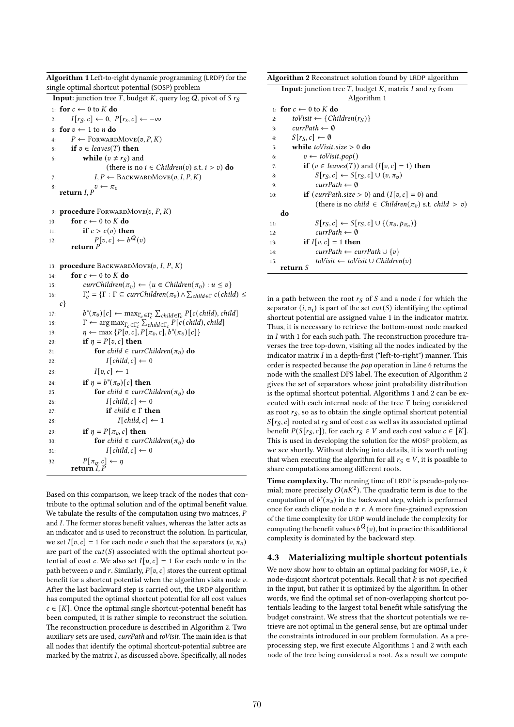| Algoritum 1 Lett-to-right dynamic programming (LKDF) for the                                                                                           |  |
|--------------------------------------------------------------------------------------------------------------------------------------------------------|--|
| single optimal shortcut potential (SOSP) problem                                                                                                       |  |
| <b>Input:</b> junction tree T, budget K, query $\log Q$ , pivot of S $r_S$                                                                             |  |
| 1: for $c \leftarrow 0$ to K do                                                                                                                        |  |
| $I[r_S, c] \leftarrow 0, P[r_S, c] \leftarrow -\infty$<br>2:                                                                                           |  |
| for $v \leftarrow 1$ to <i>n</i> do<br>3:                                                                                                              |  |
| $P \leftarrow$ FORWARDMOVE $(v, P, K)$<br>4:                                                                                                           |  |
| if $v \in leaves(T)$ then<br>5:                                                                                                                        |  |
| while ( $v \neq r_S$ ) and<br>6:                                                                                                                       |  |
| (there is no $i \in Children(v)$ s.t. $i > v$ ) do                                                                                                     |  |
| $I, P \leftarrow$ BACKWARDMOVE $(v, I, P, K)$<br>7:                                                                                                    |  |
| 8:<br>return $I, P$ <sup><math>v \leftarrow \pi_v</math></sup>                                                                                         |  |
|                                                                                                                                                        |  |
| 9: procedure FORWARDMOVE $(v, P, K)$                                                                                                                   |  |
| for $c \leftarrow 0$ to K do<br>10:                                                                                                                    |  |
| if $c > c(v)$ then<br>11:                                                                                                                              |  |
| $\label{eq:1} \mathop{P[v,c]}\limits_{\text{$\mathbf{return}\;P}} \leftarrow \widehat{b^{\mathcal{Q}}}(v)$ return $\mathop{P}\limits^{\text{}}$<br>12: |  |
|                                                                                                                                                        |  |
|                                                                                                                                                        |  |
| 13: procedure BACKWARDMOVE(v, I, P, K)                                                                                                                 |  |
| for $c \leftarrow 0$ to $K$ do<br>14:                                                                                                                  |  |
| $\textit{currChildren}(\pi_v) \leftarrow \{u \in \textit{Children}(\pi_v) : u \leq v\}$<br>15:                                                         |  |
| $\Gamma'_c = \{\Gamma : \Gamma \subseteq \text{currChildren}(\pi_v) \land \sum_{\text{child} \in \Gamma} c(\text{child}) \leq \Gamma\}$<br>16:         |  |
| $c$ }                                                                                                                                                  |  |
| $b^*(\pi_v)[c] \leftarrow \max_{\Gamma_c \in \Gamma'_c} \sum_{child \in \Gamma_c} P[c(child),child]$<br>17:                                            |  |
| $\Gamma \leftarrow \arg \max_{\Gamma_c \in \Gamma'_c} \sum_{child \in \Gamma_c} P[c(child),child]$<br>18:                                              |  |
| $\eta \leftarrow \max\left\{P[v, c], P[\pi_v, c], b^*(\pi_v)[c]\right\}$<br>19:                                                                        |  |
| if $\eta = P[v, c]$ then<br>20:<br>for child $\in$ currChildren $(\pi_v)$ do<br>21:                                                                    |  |
| $I[child, c] \leftarrow 0$                                                                                                                             |  |
| 22:<br>$I[v, c] \leftarrow 1$                                                                                                                          |  |
| 23:<br>if $\eta = b^*(\pi_v)[c]$ then<br>24:                                                                                                           |  |
| for child $\in$ currChildren( $\pi_v$ ) do<br>25:                                                                                                      |  |
| $I[child, c] \leftarrow 0$<br>26:                                                                                                                      |  |
| if child $\in \Gamma$ then<br>27:                                                                                                                      |  |
| $I[child, c] \leftarrow 1$<br>28:                                                                                                                      |  |
| if $\eta = P[\pi_v, c]$ then<br>29:                                                                                                                    |  |
| <b>for</b> child $\in$ currChildren( $\pi$ <sub>v</sub> ) <b>do</b><br>30:                                                                             |  |
| $I child,c  \leftarrow 0$<br>31:                                                                                                                       |  |
| 32:                                                                                                                                                    |  |
| $P[\pi_v, c] \leftarrow \eta$<br>return <i>I</i> , <i>P</i>                                                                                            |  |
|                                                                                                                                                        |  |

 $\overline{A}$  departition 1 Left-to-right dynamic programming (LRDP) for the

Based on this comparison, we keep track of the nodes that contribute to the optimal solution and of the optimal benefit value. We tabulate the results of the computation using two matrices,  $P$ and I. The former stores benefit values, whereas the latter acts as an indicator and is used to reconstruct the solution. In particular, we set  $I[v, c] = 1$  for each node v such that the separators  $(v, \pi_v)$ are part of the  $cut(S)$  associated with the optimal shortcut potential of cost c. We also set  $I[u, c] = 1$  for each node u in the path between  $v$  and  $r$ . Similarly,  $P[v, c]$  stores the current optimal benefit for a shortcut potential when the algorithm visits node  $v$ . After the last backward step is carried out, the LRDP algorithm has computed the optimal shortcut potential for all cost values  $c \in [K]$ . Once the optimal single shortcut-potential benefit has been computed, it is rather simple to reconstruct the solution. The reconstruction procedure is described in Algorithm 2. Two auxiliary sets are used, currPath and toVisit. The main idea is that all nodes that identify the optimal shortcut-potential subtree are marked by the matrix  $I$ , as discussed above. Specifically, all nodes

| <b>Algorithm 2</b> Reconstruct solution found by LRDP algorithm                                                |
|----------------------------------------------------------------------------------------------------------------|
|                                                                                                                |
| <b>Input:</b> junction tree T, budget K, matrix I and $rS$ from                                                |
| Algorithm 1                                                                                                    |
| 1: for $c \leftarrow 0$ to K do                                                                                |
| toVisit $\leftarrow \{Children(r_S)\}\$<br>2:                                                                  |
| $currPath \leftarrow \emptyset$<br>3:                                                                          |
| $S[r_S, c] \leftarrow \emptyset$<br>4:                                                                         |
| while <i>toVisit.size</i> $> 0$ do<br>5:                                                                       |
| $v \leftarrow toVisit.pop()$<br>6:                                                                             |
| <b>if</b> $(v \in leaves(T))$ and $(I[v, c] = 1)$ <b>then</b><br>7:                                            |
| $S[r_S, c] \leftarrow S[r_S, c] \cup (v, \pi_v)$<br>8:                                                         |
| $currPath \leftarrow \emptyset$<br>9:                                                                          |
| <b>if</b> ( <i>currPath.size</i> > 0) and ( $I[v, c] = 0$ ) and<br>10:                                         |
| (there is no <i>child</i> $\in$ <i>Children</i> ( $\pi$ <sub><i>v</i></sub> ) <i>s.t. child</i> $>$ <i>v</i> ) |
| do                                                                                                             |
| $S[r_S, c] \leftarrow S[r_S, c] \cup \{(\pi_v, p_{\pi_v})\}$<br>11:                                            |
| $currPath \leftarrow \emptyset$<br>12:                                                                         |
| if $I[v, c] = 1$ then<br>13:                                                                                   |
| $currPath \leftarrow currPath \cup \{v\}$<br>14:                                                               |
| $toVisit \leftarrow toVisit \cup Children(v)$<br>15:                                                           |
| return S                                                                                                       |

in a path between the root  $r<sub>S</sub>$  of S and a node *i* for which the separator  $(i, \pi_i)$  is part of the set  $cut(S)$  identifying the optimal shortcut potential are assigned value 1 in the indicator matrix. Thus, it is necessary to retrieve the bottom-most node marked in  $I$  with 1 for each such path. The reconstruction procedure traverses the tree top-down, visiting all the nodes indicated by the indicator matrix  $I$  in a depth-first ("left-to-right") manner. This order is respected because the pop operation in Line 6 returns the node with the smallest DFS label. The execution of Algorithm 2 gives the set of separators whose joint probability distribution is the optimal shortcut potential. Algorithms 1 and 2 can be executed with each internal node of the tree  $T$  being considered as root  $r<sub>S</sub>$ , so as to obtain the single optimal shortcut potential  $S[r_S, c]$  rooted at  $r_S$  and of cost c as well as its associated optimal benefit  $P(S[r_S, c])$ , for each  $r_S \in V$  and each cost value  $c \in [K]$ . This is used in developing the solution for the MOSP problem, as we see shortly. Without delving into details, it is worth noting that when executing the algorithm for all  $r_S \in V$ , it is possible to share computations among different roots.

Time complexity. The running time of LRDP is pseudo-polynomial; more precisely  $O(nK^2)$ . The quadratic term is due to the computation of  $b^*(\pi_v)$  in the backward step, which is performed once for each clique node  $v \neq r$ . A more fine-grained expression of the time complexity for LRDP would include the complexity for computing the benefit values  $b^{\mathbf{Q}}(v)$ , but in practice this additional complexity is dominated by the backward step.

### 4.3 Materializing multiple shortcut potentials

We now show how to obtain an optimal packing for MOSP, i.e.,  $k$ node-disjoint shortcut potentials. Recall that  $k$  is not specified in the input, but rather it is optimized by the algorithm. In other words, we find the optimal set of non-overlapping shortcut potentials leading to the largest total benefit while satisfying the budget constraint. We stress that the shortcut potentials we retrieve are not optimal in the general sense, but are optimal under the constraints introduced in our problem formulation. As a preprocessing step, we first execute Algorithms 1 and 2 with each node of the tree being considered a root. As a result we compute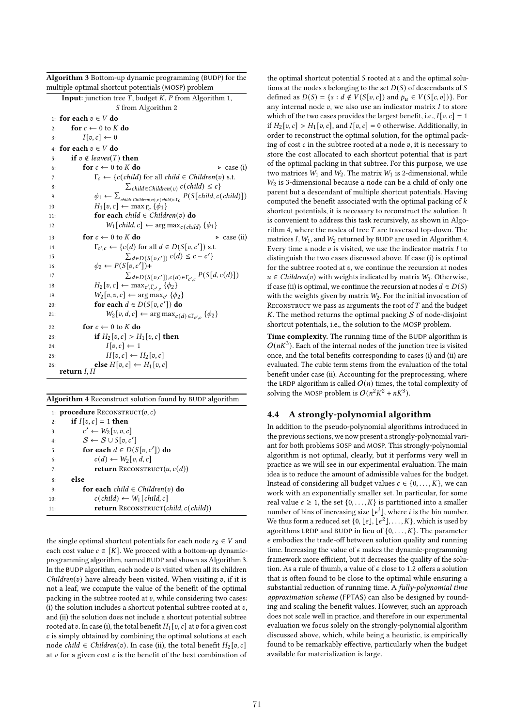|                                                     | Algorithm 3 Bottom-up dynamic programming (BUDP) for the |
|-----------------------------------------------------|----------------------------------------------------------|
| multiple optimal shortcut potentials (MOSP) problem |                                                          |

|     | mumple opmmar shortcut potentials (mOSP) problem                                                                                 |
|-----|----------------------------------------------------------------------------------------------------------------------------------|
|     | <b>Input:</b> junction tree $T$ , budget $K$ , $P$ from Algorithm 1,                                                             |
|     | S from Algorithm 2                                                                                                               |
|     | 1: for each $v \in V$ do                                                                                                         |
| 2:  | for $c \leftarrow 0$ to K do                                                                                                     |
| 3:  | $I[v, c] \leftarrow 0$                                                                                                           |
| 4:  | for each $v \in V$ do                                                                                                            |
| 5:  | if $v \notin leaves(T)$ then                                                                                                     |
| 6:  | for $c \leftarrow 0$ to K do<br>$\triangleright$ case (i)                                                                        |
| 7:  | $\Gamma_c \leftarrow \{c(cchild) \text{ for all child} \in Children(v) \text{ s.t.} \right)$                                     |
| 8:  | $\sum \text{child} \in \text{Children}(v) \ c(\text{child}) \leq c$                                                              |
| 9:  | $\phi_1 \leftarrow \sum_{\text{child} \in \text{Children}(v), c(\text{child}) \in \Gamma_C} P(S[\text{child}, c(\text{child})])$ |
| 10: | $H_1[v, c] \leftarrow \max_{\Gamma_c} {\{\phi_1\}}$                                                                              |
| 11: | for each child $\in$ Children(v) do                                                                                              |
| 12: | $W_1[child, c] \leftarrow \arg \max_{c(child)} \{\phi_1\}$                                                                       |
| 13: | for $c \leftarrow 0$ to K do<br>$\triangleright$ case (ii)                                                                       |
| 14: | $\Gamma_{c',c} \leftarrow \{c(d) \text{ for all } d \in D(S[v, c']) \text{ s.t. }$                                               |
| 15: | $\sum_{d \in D(S[v,c'])} c(d) \leq c - c'$                                                                                       |
| 16: | $\phi_2 \leftarrow P(S[v, c']) +$                                                                                                |
| 17: | $\sum_{d \in D(S[v,c')),c(d) \in \Gamma_{c',c}} P(S[d,c(d)])$                                                                    |
| 18: | $H_2[v, c] \leftarrow \max_{c', \Gamma_{c', c}} \{\phi_2\}$                                                                      |
| 19: | $W_2[v, v, c] \leftarrow \arg \max_{c'} \{\phi_2\}$                                                                              |
| 20: | for each $d \in D(S[v, c'])$ do                                                                                                  |
| 21: | $W_2[v, d, c] \leftarrow \arg \max_{c(d) \in \Gamma_{c', c}} \{\phi_2\}$                                                         |
| 22: | for $c \leftarrow 0$ to K do                                                                                                     |
| 23: | if $H_2[v, c] > H_1[v, c]$ then                                                                                                  |
| 24: | $I[v, c] \leftarrow 1$                                                                                                           |
| 25: | $H[v, c] \leftarrow H_2[v, c]$                                                                                                   |
| 26: | else $H[v, c] \leftarrow H_1[v, c]$                                                                                              |
|     | return $I, H$                                                                                                                    |

| Algorithm 4 Reconstruct solution found by BUDP algorithm |  |  |
|----------------------------------------------------------|--|--|
|----------------------------------------------------------|--|--|

|     | 1: <b>procedure</b> RECONSTRUCT $(v, c)$                        |
|-----|-----------------------------------------------------------------|
| 2:  | if $I[v, c] = 1$ then                                           |
| 3:  | $c' \leftarrow W_2[v, v, c]$                                    |
| 4:  | $S \leftarrow S \cup S[v, c']$                                  |
| 5:  | for each $d \in D(S[v, c'])$ do                                 |
| 6:  | $c(d) \leftarrow W_2[v, d, c]$                                  |
| 7:  | <b>return</b> RECONSTRUCT $(u, c(d))$                           |
| 8:  | else                                                            |
| 9:  | for each child $\in$ Children(v) do                             |
| 10: | $c$ (child) $\leftarrow$ W <sub>1</sub> [child, c]              |
| 11: | <b>return</b> RECONSTRUCT( <i>child</i> , $c$ ( <i>child</i> )) |

the single optimal shortcut potentials for each node  $r_S \in V$  and each cost value  $c \in [K]$ . We proceed with a bottom-up dynamicprogramming algorithm, named BUDP and shown as Algorithm 3. In the BUDP algorithm, each node  $v$  is visited when all its children  $Children(v)$  have already been visited. When visiting v, if it is not a leaf, we compute the value of the benefit of the optimal packing in the subtree rooted at  $v$ , while considering two cases: (i) the solution includes a shortcut potential subtree rooted at  $v$ , and (ii) the solution does not include a shortcut potential subtree rooted at v. In case (i), the total benefit  $H_1[v, c]$  at v for a given cost  $c$  is simply obtained by combining the optimal solutions at each  $\,$ node *child* ∈ *Children*(*v*). In case (ii), the total benefit  $H_2[v, c]$ at  $v$  for a given cost  $c$  is the benefit of the best combination of

the optimal shortcut potential  $S$  rooted at  $v$  and the optimal solutions at the nodes s belonging to the set  $D(S)$  of descendants of S defined as  $D(S) = \{s : d \notin V(S[v, c]) \text{ and } p_u \in V(S[c, v])\}.$  For any internal node  $v$ , we also use an indicator matrix  $I$  to store which of the two cases provides the largest benefit, i.e.,  $I[v, c] = 1$ if  $H_2[v, c] > H_1[v, c]$ , and  $I[v, c] = 0$  otherwise. Additionally, in order to reconstruct the optimal solution, for the optimal packing of cost  $c$  in the subtree rooted at a node  $v$ , it is necessary to store the cost allocated to each shortcut potential that is part of the optimal packing in that subtree. For this purpose, we use two matrices  $W_1$  and  $W_2$ . The matrix  $W_1$  is 2-dimensional, while  $W<sub>2</sub>$  is 3-dimensional because a node can be a child of only one parent but a descendant of multiple shortcut potentials. Having computed the benefit associated with the optimal packing of  $k$ shortcut potentials, it is necessary to reconstruct the solution. It is convenient to address this task recursively, as shown in Algorithm 4, where the nodes of tree  $T$  are traversed top-down. The matrices I,  $W_1$ , and  $W_2$  returned by BUDP are used in Algorithm 4. Every time a node  $v$  is visited, we use the indicator matrix  $I$  to distinguish the two cases discussed above. If case (i) is optimal for the subtree rooted at  $v$ , we continue the recursion at nodes  $u \in Children(v)$  with weights indicated by matrix  $W_1$ . Otherwise, if case (ii) is optimal, we continue the recursion at nodes  $d \in D(S)$ with the weights given by matrix  $W_2$ . For the initial invocation of RECONSTRUCT we pass as arguments the root of  $T$  and the budget  $K$ . The method returns the optimal packing  $S$  of node-disjoint shortcut potentials, i.e., the solution to the MOSP problem.

Time complexity. The running time of the BUDP algorithm is  $O(nK^3)$ . Each of the internal nodes of the junction tree is visited once, and the total benefits corresponding to cases (i) and (ii) are evaluated. The cubic term stems from the evaluation of the total benefit under case (ii). Accounting for the preprocessing, where the LRDP algorithm is called  $O(n)$  times, the total complexity of solving the MOSP problem is  $O(n^2K^2 + nK^3)$ .

# 4.4 A strongly-polynomial algorithm

In addition to the pseudo-polynomial algorithms introduced in the previous sections, we now present a strongly-polynomial variant for both problems SOSP and MOSP. This strongly-polynomial algorithm is not optimal, clearly, but it performs very well in practice as we will see in our experimental evaluation. The main idea is to reduce the amount of admissible values for the budget. Instead of considering all budget values  $c \in \{0, \ldots, K\}$ , we can work with an exponentially smaller set. In particular, for some real value  $\epsilon \geq 1$ , the set  $\{0, \ldots, K\}$  is partitioned into a smaller number of bins of increasing size  $\lfloor \epsilon^i \rfloor$ , where *i* is the bin number. We thus form a reduced set  $\{0, \lfloor \epsilon \rfloor, \lfloor \epsilon^2 \rfloor, \ldots, K\}$ , which is used by agorithms LRDP and BUDP in lieu of  $\{0, \ldots, K\}$ . The parameter  $\epsilon$  embodies the trade-off between solution quality and running time. Increasing the value of  $\epsilon$  makes the dynamic-programming framework more efficient, but it decreases the quality of the solution. As a rule of thumb, a value of  $\epsilon$  close to 1.2 offers a solution that is often found to be close to the optimal while ensuring a substantial reduction of running time. A fully-polynomial time approximation scheme (FPTAS) can also be designed by rounding and scaling the benefit values. However, such an approach does not scale well in practice, and therefore in our experimental evaluation we focus solely on the strongly-polynomial algorithm discussed above, which, while being a heuristic, is empirically found to be remarkably effective, particularly when the budget available for materialization is large.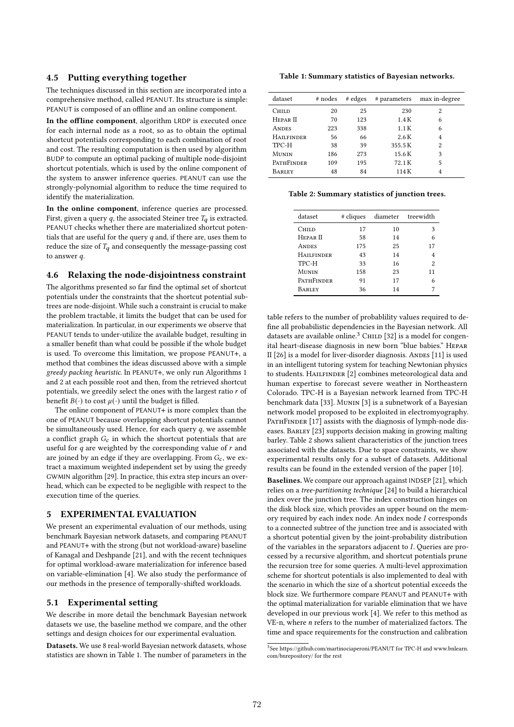### 4.5 Putting everything together

The techniques discussed in this section are incorporated into a comprehensive method, called PEANUT. Its structure is simple: PEANUT is composed of an offline and an online component.

In the offline component, algorithm LRDP is executed once for each internal node as a root, so as to obtain the optimal shortcut potentials corresponding to each combination of root and cost. The resulting computation is then used by algorithm BUDP to compute an optimal packing of multiple node-disjoint shortcut potentials, which is used by the online component of the system to answer inference queries. PEANUT can use the strongly-polynomial algorithm to reduce the time required to identify the materialization.

In the online component, inference queries are processed. First, given a query  $q$ , the associated Steiner tree  $T_q$  is extracted. PEANUT checks whether there are materialized shortcut potentials that are useful for the query  $q$  and, if there are, uses them to reduce the size of  $T_q$  and consequently the message-passing cost to answer  $q$ .

### 4.6 Relaxing the node-disjointness constraint

The algorithms presented so far find the optimal set of shortcut potentials under the constraints that the shortcut potential subtrees are node-disjoint. While such a constraint is crucial to make the problem tractable, it limits the budget that can be used for materialization. In particular, in our experiments we observe that PEANUT tends to under-utilize the available budget, resulting in a smaller benefit than what could be possible if the whole budget is used. To overcome this limitation, we propose PEANUT+, a method that combines the ideas discussed above with a simple greedy packing heuristic. In PEANUT+, we only run Algorithms 1 and 2 at each possible root and then, from the retrieved shortcut potentials, we greedily select the ones with the largest ratio  $r$  of benefit  $B(\cdot)$  to cost  $\mu(\cdot)$  until the budget is filled.

The online component of PEANUT+ is more complex than the one of PEANUT because overlapping shortcut potentials cannot be simultaneously used. Hence, for each query  $q$ , we assemble a conflict graph  $G_c$  in which the shortcut potentials that are useful for  $q$  are weighted by the corresponding value of  $r$  and are joined by an edge if they are overlapping. From  $G_c$ , we extract a maximum weighted independent set by using the greedy GWMIN algorithm [29]. In practice, this extra step incurs an overhead, which can be expected to be negligible with respect to the execution time of the queries.

# 5 EXPERIMENTAL EVALUATION

We present an experimental evaluation of our methods, using benchmark Bayesian network datasets, and comparing PEANUT and PEANUT+ with the strong (but not workload-aware) baseline of Kanagal and Deshpande [21], and with the recent techniques for optimal workload-aware materialization for inference based on variable-elimination [4]. We also study the performance of our methods in the presence of temporally-shifted workloads.

### 5.1 Experimental setting

We describe in more detail the benchmark Bayesian network datasets we use, the baseline method we compare, and the other settings and design choices for our experimental evaluation.

Datasets. We use 8 real-world Bayesian network datasets, whose statistics are shown in Table 1. The number of parameters in the

Table 1: Summary statistics of Bayesian networks.

| dataset             | # nodes | # edges | # parameters | max in-degree |
|---------------------|---------|---------|--------------|---------------|
| Child               | 20      | 25      | 230          | 2             |
| HEPAR <sub>II</sub> | 70      | 123     | 1.4K         | 6             |
| <b>ANDES</b>        | 223     | 338     | 1.1K         | 6             |
| <b>HAILFINDER</b>   | 56      | 66      | 2.6K         | 4             |
| TPC-H               | 38      | 39      | 355.5K       | 2             |
| MUNIN               | 186     | 273     | 15.6K        | 3             |
| <b>PATHFINDER</b>   | 109     | 195     | 72.1K        | 5             |
| BARLEY              | 48      | 84      | 114 K        |               |
|                     |         |         |              |               |

Table 2: Summary statistics of junction trees.

| dataset             | # cliques |    | diameter treewidth |
|---------------------|-----------|----|--------------------|
| Child               | 17        | 10 | 3                  |
| HEPAR <sub>II</sub> | 58        | 14 | 6                  |
| <b>ANDES</b>        | 175       | 25 | 17                 |
| <b>HAILFINDER</b>   | 43        | 14 | 4                  |
| TPC-H               | 33        | 16 | 2                  |
| <b>MUNIN</b>        | 158       | 23 | 11                 |
| <b>PATHFINDER</b>   | 91        | 17 | 6                  |
| <b>BARLEY</b>       | 36        | 14 |                    |
|                     |           |    |                    |

table refers to the number of probablility values required to define all probabilistic dependencies in the Bayesian network. All datasets are available online. $3$  CHILD [32] is a model for congenital heart-disease diagnosis in new born "blue babies." Hepar II [26] is a model for liver-disorder diagnosis. Andes [11] is used in an intelligent tutoring system for teaching Newtonian physics to students. HAILFINDER [2] combines meteorological data and human expertise to forecast severe weather in Northeastern Colorado. TPC-H is a Bayesian network learned from TPC-H benchmark data [33]. Munin [3] is a subnetwork of a Bayesian network model proposed to be exploited in electromyography. PATHFINDER [17] assists with the diagnosis of lymph-node diseases. BARLEY [23] supports decision making in growing malting barley. Table 2 shows salient characteristics of the junction trees associated with the datasets. Due to space constraints, we show experimental results only for a subset of datasets. Additional results can be found in the extended version of the paper [10].

Baselines. We compare our approach against INDSEP [21], which relies on a tree-partitioning technique [24] to build a hierarchical index over the junction tree. The index construction hinges on the disk block size, which provides an upper bound on the memory required by each index node. An index node I corresponds to a connected subtree of the junction tree and is associated with a shortcut potential given by the joint-probability distribution of the variables in the separators adjacent to  $I$ . Queries are processed by a recursive algorithm, and shortcut potentials prune the recursion tree for some queries. A multi-level approximation scheme for shortcut potentials is also implemented to deal with the scenario in which the size of a shortcut potential exceeds the block size. We furthermore compare PEANUT and PEANUT+ with the optimal materialization for variable elimination that we have developed in our previous work [4]. We refer to this method as VE-n, where  $n$  refers to the number of materialized factors. The time and space requirements for the construction and calibration

<sup>3</sup> See https://github.com/martinociaperoni/PEANUT for TPC-H and www.bnlearn. com/bnrepository/ for the rest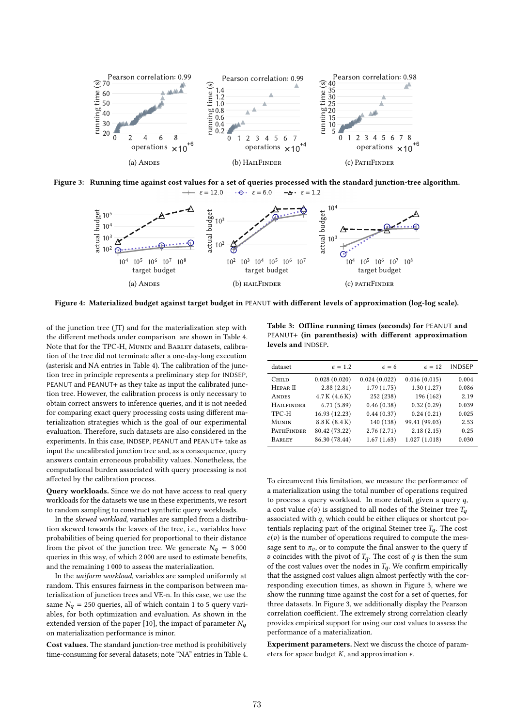

Figure 3: Running time against cost values for a set of queries processed with the standard junction-tree algorithm.  $\epsilon = 12.0$  $\cdot \cdot \cdot$   $\varepsilon = 6.0$  $-A - \epsilon = 1.2$ 



Figure 4: Materialized budget against target budget in PEANUT with different levels of approximation (log-log scale).

of the junction tree (JT) and for the materialization step with the different methods under comparison are shown in Table 4. Note that for the TPC-H, Munin and Barley datasets, calibration of the tree did not terminate after a one-day-long execution (asterisk and NA entries in Table 4). The calibration of the junction tree in principle represents a preliminary step for INDSEP, PEANUT and PEANUT+ as they take as input the calibrated junction tree. However, the calibration process is only necessary to obtain correct answers to inference queries, and it is not needed for comparing exact query processing costs using different materialization strategies which is the goal of our experimental evaluation. Therefore, such datasets are also considered in the experiments. In this case, INDSEP, PEANUT and PEANUT+ take as input the uncalibrated junction tree and, as a consequence, query answers contain erroneous probability values. Nonetheless, the computational burden associated with query processing is not affected by the calibration process.

Query workloads. Since we do not have access to real query workloads for the datasets we use in these experiments, we resort to random sampling to construct synthetic query workloads.

In the skewed workload, variables are sampled from a distribution skewed towards the leaves of the tree, i.e., variables have probabilities of being queried for proportional to their distance from the pivot of the junction tree. We generate  $N_q = 3000$ queries in this way, of which 2 000 are used to estimate benefits, and the remaining 1 000 to assess the materialization.

In the uniform workload, variables are sampled uniformly at random. This ensures fairness in the comparison between materialization of junction trees and VE-n. In this case, we use the same  $N_q = 250$  queries, all of which contain 1 to 5 query variables, for both optimization and evaluation. As shown in the extended version of the paper [10], the impact of parameter  $N_q$ on materialization performance is minor.

Cost values. The standard junction-tree method is prohibitively time-consuming for several datasets; note "NA" entries in Table 4.

Table 3: Offline running times (seconds) for PEANUT and PEANUT+ (in parenthesis) with different approximation levels and INDSEP.

| dataset             | $\epsilon = 1.2$ | $\epsilon = 6$ | $\epsilon = 12$ | <b>INDSEP</b> |
|---------------------|------------------|----------------|-----------------|---------------|
| <b>CHILD</b>        | 0.028(0.020)     | 0.024(0.022)   | 0.016(0.015)    | 0.004         |
| HEPAR <sub>II</sub> | 2.88(2.81)       | 1.79(1.75)     | 1.30(1.27)      | 0.086         |
| <b>ANDES</b>        | 4.7K(4.6K)       | 252 (238)      | 196 (162)       | 2.19          |
| <b>HAILFINDER</b>   | 6.71(5.89)       | 0.46(0.38)     | 0.32(0.29)      | 0.039         |
| TPC-H               | 16.93 (12.23)    | 0.44(0.37)     | 0.24(0.21)      | 0.025         |
| MUNIN               | 8.8 K (8.4 K)    | 140 (138)      | 99.41 (99.03)   | 2.53          |
| PATHFINDER          | 80.42 (73.22)    | 2.76(2.71)     | 2.18(2.15)      | 0.25          |
| <b>BARLEY</b>       | 86.30 (78.44)    | 1.67(1.63)     | 1.027(1.018)    | 0.030         |

To circumvent this limitation, we measure the performance of a materialization using the total number of operations required to process a query workload. In more detail, given a query  $q$ , a cost value  $c(v)$  is assigned to all nodes of the Steiner tree  $T_a$ associated with  $q$ , which could be either cliques or shortcut potentials replacing part of the original Steiner tree  $T_q$ . The cost  $c(v)$  is the number of operations required to compute the message sent to  $\pi_v$ , or to compute the final answer to the query if  $v$  coincides with the pivot of  $T_q$ . The cost of  $q$  is then the sum of the cost values over the nodes in  $T_q$ . We confirm empirically that the assigned cost values align almost perfectly with the corresponding execution times, as shown in Figure 3, where we show the running time against the cost for a set of queries, for three datasets. In Figure 3, we additionally display the Pearson correlation coefficient. The extremely strong correlation clearly provides empirical support for using our cost values to assess the performance of a materialization.

Experiment parameters. Next we discuss the choice of parameters for space budget  $K$ , and approximation  $\epsilon$ .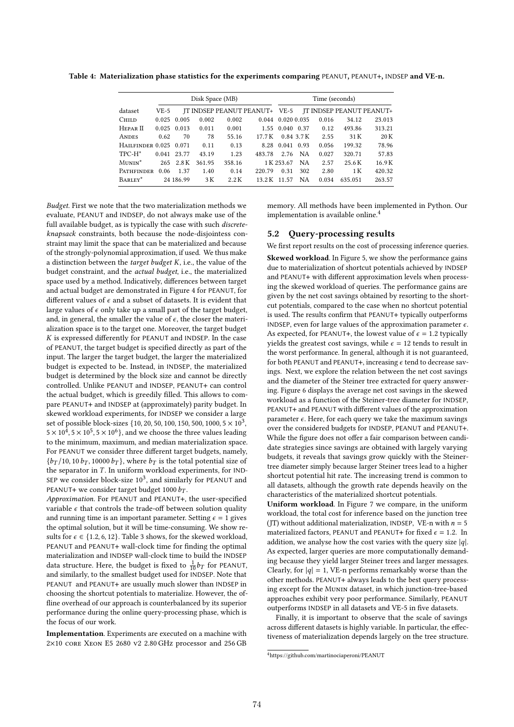Table 4: Materialization phase statistics for the experiments comparing PEANUT, PEANUT+, INDSEP and VE-n.

| Disk Space (MB)        |               |               |        |        | Time (seconds) |                         |         |                        |         |                                                        |
|------------------------|---------------|---------------|--------|--------|----------------|-------------------------|---------|------------------------|---------|--------------------------------------------------------|
| dataset                | $VE-5$        |               |        |        |                |                         |         |                        |         | JT INDSEP PEANUT PEANUT+ VE-5 JT INDSEP PEANUT PEANUT+ |
| <b>CHILD</b>           |               | $0.025$ 0.005 | 0.002  | 0.002  |                | $0.044$ $0.020$ $0.035$ |         | 0.016                  | 34.12   | 23.013                                                 |
| HEPAR <sub>II</sub>    | $0.025$ 0.013 |               | 0.011  | 0.001  |                |                         |         | 1.55 0.040 0.37 0.12   | 493.86  | 313.21                                                 |
| <b>ANDES</b>           | 0.62          | 70            | - 78   | 55.16  |                |                         |         | 17.7 K 0.84 3.7 K 2.55 | 31 K    | 20 K                                                   |
| HAILFINDER 0.025 0.071 |               |               | 0.11   | 0.13   |                | 8.28 0.041 0.93         |         | 0.056                  | 199.32  | 78.96                                                  |
| TPC-H*                 | 0.041 23.77   |               | 43.19  | 1.23   | 483.78         |                         | 2.76 NA | 0.027                  | 320.71  | 57.83                                                  |
| MUNIN <sup>*</sup>     |               | 265 2.8K      | 361.95 | 358.16 |                | 1 K 253.67              | NA      | 2.57                   | 25.6 K  | 16.9K                                                  |
| PATHFINDER 0.06 1.37   |               |               | 1.40   | 0.14   | 220.79         | 0.31                    | 302     | 2.80                   | 1 K     | 420.32                                                 |
| BARLEY*                |               | 24 186.99     | 3 K    | 2.2K   |                | 13.2 K 11.57            | NA.     | 0.034                  | 635.051 | 263.57                                                 |

Budget. First we note that the two materialization methods we evaluate, PEANUT and INDSEP, do not always make use of the full available budget, as is typically the case with such discreteknapsack constraints, both because the node-disjointess constraint may limit the space that can be materialized and because of the strongly-polynomial approximation, if used. We thus make a distinction between the target budget  $K$ , i.e., the value of the budget constraint, and the actual budget, i.e., the materialized space used by a method. Indicatively, differences between target and actual budget are demonstrated in Figure 4 for PEANUT, for different values of  $\epsilon$  and a subset of datasets. It is evident that large values of  $\epsilon$  only take up a small part of the target budget, and, in general, the smaller the value of  $\epsilon$ , the closer the materialization space is to the target one. Moreover, the target budget  $K$  is expressed differently for PEANUT and INDSEP. In the case of PEANUT, the target budget is specified directly as part of the input. The larger the target budget, the larger the materialized budget is expected to be. Instead, in INDSEP, the materialized budget is determined by the block size and cannot be directly controlled. Unlike PEANUT and INDSEP, PEANUT+ can control the actual budget, which is greedily filled. This allows to compare PEANUT+ and INDSEP at (approximately) parity budget. In skewed workload experiments, for INDSEP we consider a large set of possible block-sizes {10, 20, 50, 100, 150, 500, 1000, 5  $\times$  10<sup>3</sup>,  $5 \times 10^{\overline{4}}$ ,  $5 \times 10^5$ ,  $5 \times 10^6$ }, and we choose the three values leading to the minimum, maximum, and median materialization space. For PEANUT we consider three different target budgets, namely,  ${b_T/10, 10 b_T, 10000 b_T}$ , where  $b_T$  is the total potential size of the separator in  $T$ . In uniform workload experiments, for IND-SEP we consider block-size  $10^3$ , and similarly for PEANUT and PEANUT+ we consider target budget  $1000 b_T$ .

Approximation. For PEANUT and PEANUT+, the user-specified variable  $\epsilon$  that controls the trade-off between solution quality and running time is an important parameter. Setting  $\epsilon = 1$  gives the optimal solution, but it will be time-consuming. We show results for  $\epsilon \in \{1.2, 6, 12\}$ . Table 3 shows, for the skewed workload, PEANUT and PEANUT+ wall-clock time for finding the optimal materialization and INDSEP wall-clock time to build the INDSEP data structure. Here, the budget is fixed to  $\frac{1}{10}$ *b*<sub>T</sub> for PEANUT, and similarly, to the smallest budget used for INDSEP. Note that PEANUT and PEANUT+ are usually much slower than INDSEP in choosing the shortcut potentials to materialize. However, the offline overhead of our approach is counterbalanced by its superior performance during the online query-processing phase, which is the focus of our work.

Implementation. Experiments are executed on a machine with 2×10 core Xeon E5 2680 v2 2.80 GHz processor and 256 GB

memory. All methods have been implemented in Python. Our implementation is available online.<sup>4</sup>

### 5.2 Query-processing results

We first report results on the cost of processing inference queries. Skewed workload. In Figure 5, we show the performance gains due to materialization of shortcut potentials achieved by INDSEP and PEANUT+ with different approximation levels when processing the skewed workload of queries. The performance gains are given by the net cost savings obtained by resorting to the shortcut potentials, compared to the case when no shortcut potential is used. The results confirm that PEANUT+ typically outperforms INDSEP, even for large values of the approximation parameter  $\epsilon$ . As expected, for PEANUT+, the lowest value of  $\epsilon = 1.2$  typically yields the greatest cost savings, while  $\epsilon = 12$  tends to result in the worst performance. In general, although it is not guaranteed, for both PEANUT and PEANUT+, increasing  $\epsilon$  tend to decrease savings. Next, we explore the relation between the net cost savings and the diameter of the Steiner tree extracted for query answering. Figure 6 displays the average net cost savings in the skewed workload as a function of the Steiner-tree diameter for INDSEP, PEANUT+ and PEANUT with different values of the approximation parameter  $\epsilon$ . Here, for each query we take the maximum savings over the considered budgets for INDSEP, PEANUT and PEANUT+. While the figure does not offer a fair comparison between candidate strategies since savings are obtained with largely varying budgets, it reveals that savings grow quickly with the Steinertree diameter simply because larger Steiner trees lead to a higher shortcut potential hit rate. The increasing trend is common to all datasets, although the growth rate depends heavily on the characteristics of the materialized shortcut potentials.

Uniform workload. In Figure 7 we compare, in the uniform workload, the total cost for inference based on the junction tree (JT) without additional materialization, INDSEP, VE-n with  $n = 5$ materialized factors, PEANUT and PEANUT+ for fixed  $\epsilon = 1.2$ . In addition, we analyse how the cost varies with the query size  $|q|$ . As expected, larger queries are more computationally demanding because they yield larger Steiner trees and larger messages. Clearly, for  $|q| = 1$ , VE-n performs remarkably worse than the other methods. PEANUT+ always leads to the best query processing except for the Munin dataset, in which junction-tree-based approaches exhibit very poor performance. Similarly, PEANUT outperforms INDSEP in all datasets and VE-5 in five datasets.

Finally, it is important to observe that the scale of savings across different datasets is highly variable. In particular, the effectiveness of materialization depends largely on the tree structure.

<sup>4</sup>https://github.com/martinociaperoni/PEANUT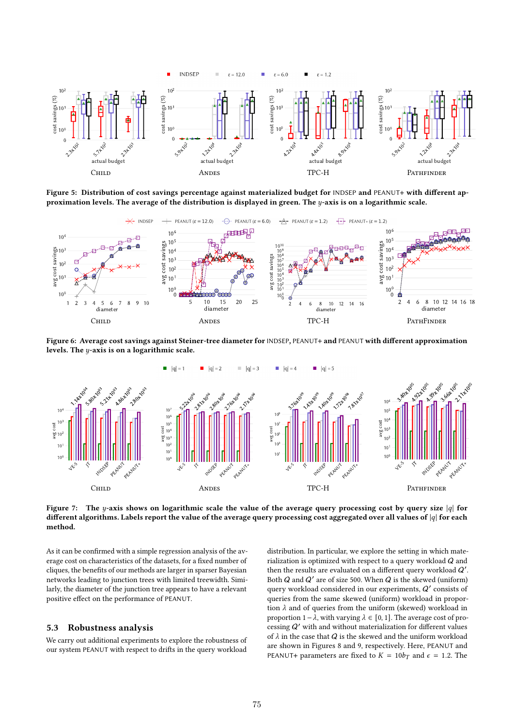

Figure 5: Distribution of cost savings percentage against materialized budget for INDSEP and PEANUT+ with different approximation levels. The average of the distribution is displayed in green. The y-axis is on a logarithmic scale.



Figure 6: Average cost savings against Steiner-tree diameter for INDSEP, PEANUT+ and PEANUT with different approximation levels. The  $y$ -axis is on a logarithmic scale.



Figure 7: The y-axis shows on logarithmic scale the value of the average query processing cost by query size |q| for different algorithms. Labels report the value of the average query processing cost aggregated over all values of  $|q|$  for each method.

As it can be confirmed with a simple regression analysis of the average cost on characteristics of the datasets, for a fixed number of cliques, the benefits of our methods are larger in sparser Bayesian networks leading to junction trees with limited treewidth. Similarly, the diameter of the junction tree appears to have a relevant positive effect on the performance of PEANUT.

### 5.3 Robustness analysis

We carry out additional experiments to explore the robustness of our system PEANUT with respect to drifts in the query workload

distribution. In particular, we explore the setting in which materialization is optimized with respect to a query workload Q and then the results are evaluated on a different query workload  $Q'$ . Both  $Q$  and  $Q'$  are of size 500. When  $Q$  is the skewed (uniform) query workload considered in our experiments,  $Q'$  consists of queries from the same skewed (uniform) workload in proportion  $\lambda$  and of queries from the uniform (skewed) workload in proportion  $1-\lambda$ , with varying  $\lambda \in [0,1]$ . The average cost of processing  $Q^{\prime}$  with and without materialization for different values of  $\lambda$  in the case that  $Q$  is the skewed and the uniform workload are shown in Figures 8 and 9, respectively. Here, PEANUT and PEANUT+ parameters are fixed to  $K = 10b_T$  and  $\epsilon = 1.2$ . The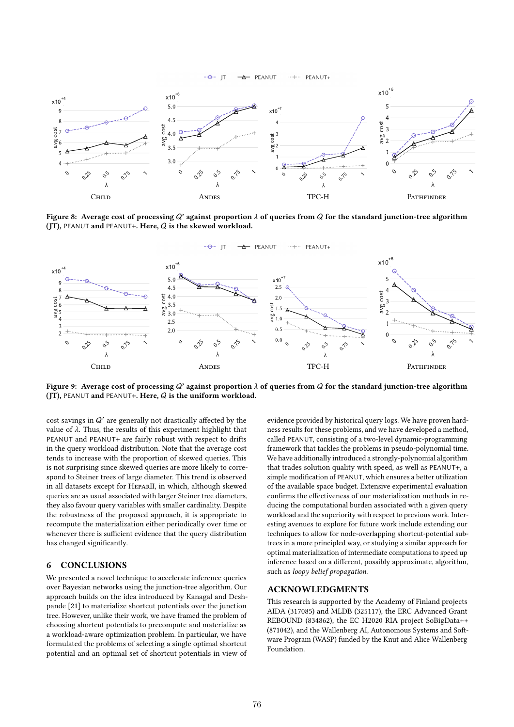



Figure 8: Average cost of processing Q' against proportion  $\lambda$  of queries from Q for the standard junction-tree algorithm (JT), PEANUT and PEANUT+. Here, Q is the skewed workload.





Figure 9: Average cost of processing Q' against proportion  $\lambda$  of queries from Q for the standard junction-tree algorithm (JT), PEANUT and PEANUT+. Here, Q is the uniform workload.

 $\cos t$  savings in  $Q'$  are generally not drastically affected by the value of  $\lambda$ . Thus, the results of this experiment highlight that PEANUT and PEANUT+ are fairly robust with respect to drifts in the query workload distribution. Note that the average cost tends to increase with the proportion of skewed queries. This is not surprising since skewed queries are more likely to correspond to Steiner trees of large diameter. This trend is observed in all datasets except for HeparII, in which, although skewed queries are as usual associated with larger Steiner tree diameters, they also favour query variables with smaller cardinality. Despite the robustness of the proposed approach, it is appropriate to recompute the materialization either periodically over time or whenever there is sufficient evidence that the query distribution has changed significantly.

# 6 CONCLUSIONS

We presented a novel technique to accelerate inference queries over Bayesian networks using the junction-tree algorithm. Our approach builds on the idea introduced by Kanagal and Deshpande [21] to materialize shortcut potentials over the junction tree. However, unlike their work, we have framed the problem of choosing shortcut potentials to precompute and materialize as a workload-aware optimization problem. In particular, we have formulated the problems of selecting a single optimal shortcut potential and an optimal set of shortcut potentials in view of

evidence provided by historical query logs. We have proven hardness results for these problems, and we have developed a method, called PEANUT, consisting of a two-level dynamic-programming framework that tackles the problems in pseudo-polynomial time. We have additionally introduced a strongly-polynomial algorithm that trades solution quality with speed, as well as PEANUT+, a simple modification of PEANUT, which ensures a better utilization of the available space budget. Extensive experimental evaluation confirms the effectiveness of our materialization methods in reducing the computational burden associated with a given query workload and the superiority with respect to previous work. Interesting avenues to explore for future work include extending our techniques to allow for node-overlapping shortcut-potential subtrees in a more principled way, or studying a similar approach for optimal materialization of intermediate computations to speed up inference based on a different, possibly approximate, algorithm, such as loopy belief propagation.

# ACKNOWLEDGMENTS

This research is supported by the Academy of Finland projects AIDA (317085) and MLDB (325117), the ERC Advanced Grant REBOUND (834862), the EC H2020 RIA project SoBigData++ (871042), and the Wallenberg AI, Autonomous Systems and Software Program (WASP) funded by the Knut and Alice Wallenberg Foundation.